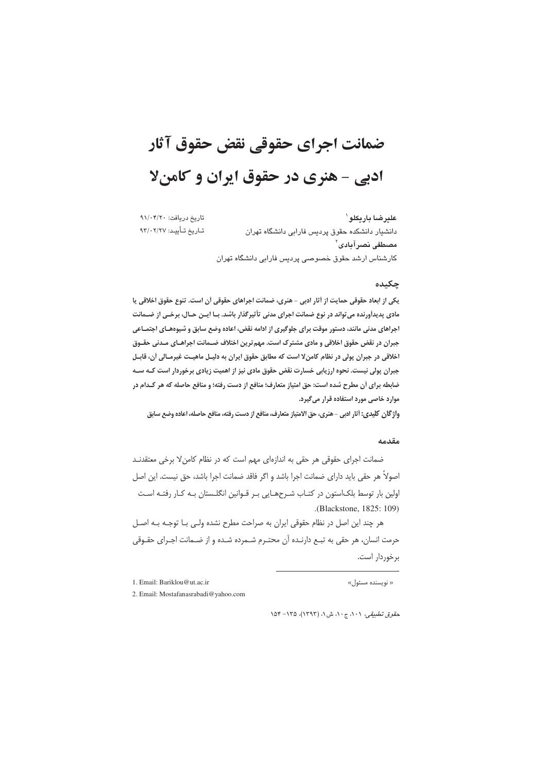# ضمانت اجراي حقوقي نقض حقوق آثار ادبی - هنری در حقوق ایران و کامنلا

تاريخ دريافت: ٩١/٠۴/٢٠ علير ضا يار بكلو ` تـاريخ تـأييـد: ٩٣/٠٢/٢٧ دانشیار دانشکده حقوق پردیس فارابی دانشگاه تهران مصطفى نصرآبادي<sup>٢</sup> كارشناس ارشد حقوق خصوصى يرديس فارابى دانشگاه تهران

#### چکیده

یکی از ابعاد حقوقی حمایت از آثار ادبی - هنری، ضمانت اجراهای حقوقی آن است. تنوع حقوق اخلاقی یا مادی پدیداَورنده می تواند در نوع ضمانت اجرای مدنی تأثیرگذار باشد. بـا ایـن حـال، برخـی از ضـمانت اجراهای مدنی مانند، دستور موقت برای جلوگیری از ادامه نقض، اعاده وضع سابق و شیوههـای اجتمـاعی جبران در نقض حقوق اخلاقی و مادی مشترک است. مهم ترین اختلاف ضـمانت اجراهـای مـدنی حقـوق اخلاقی در جبران پولی در نظام کامن لا است که مطابق حقوق ایران به دلیـل ماهیـت غیرمـالی آن، قابـل جبران پولی نیست. نحوه ارزیابی خسارت نقض حقوق مادی نیز از اهمیت زیادی برخوردار است کـه ســه ضابطه برای آن مطرح شده است: حق امتیاز متعارف؛ منافع از دست رفته؛ و منافع حاصله که هر کـدام در موارد خاصی مورد استفاده قرار می گیرد.

واژگان کلیدی: أثار ادبی - هنری، حق الامتیاز متعارف، منافع از دست رفته، منافع حاصله، اعاده وضع سابق

#### مقدمه

ضمانت اجرای حقوقی هر حقی به اندازهای مهم است که در نظام کامن لا برخی معتقدنـد اصولاً هر حقی باید دارای ضمانت اجرا باشد و اگر فاقد ضمانت اجرا باشد، حق نیست. این اصل اولین بار توسط بلکاستون در کتـاب شـرحهـایی بـر قـوانین انگلـستان بـه کـار رفتـه اسـت (Blackstone, 1825; 109)

هر چند این اصل در نظام حقوقی ایران به صراحت مطرح نشده ولـی بـا توجـه بـه اصـل حرمت انسان، هر حقی به تبـع دارنـده آن محتـرم شــمرده شـده و از ضـمانت اجـرای حقـوقی برخوردار است.

« نویسنده مسئول»

2. Email: Mostafanasrabadi@yahoo.com

حقوق تطبيقي، ١٠١، ج١٠، ش١، (١٣٩٣)، ١٢٥٥- ١٥۴

<sup>1.</sup> Email: Bariklou@ut.ac.ir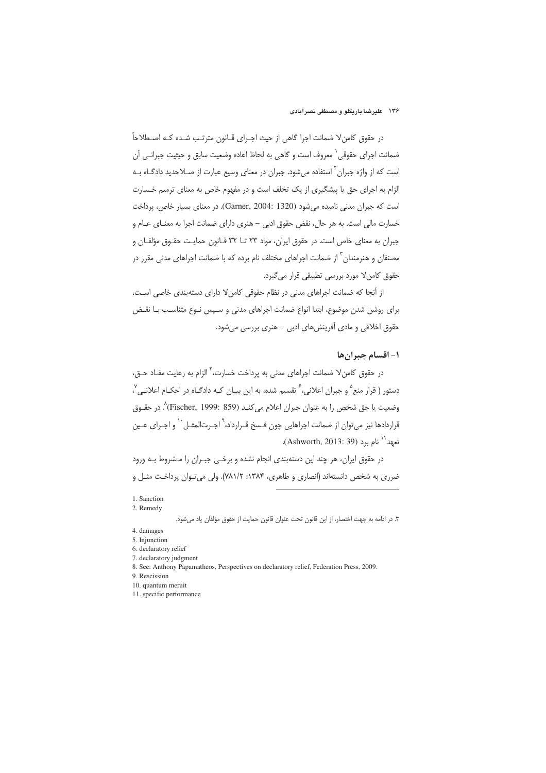۱۳۶ علیرضا باریکلو و مصطفی نصرآبادی

در حقوق كامنٍ لا ضمانت اجرا گاهي از حيث اجـراي قــانون مترتـب شــده كـه اصــطلاحاً ضمانت اجرای حقوقی` معروف است و گاهی به لحاظ اعاده وضعیت سابق و حیثیت جبرانـی آن است که از واژه جبران<sup>۲</sup> استفاده میشود. جبران در معنای وسیع عبارت از صـلاحدید دادگـاه بـه الزام به اجرای حق یا پیشگیری از یک تخلف است و در مفهوم خاص به معنای ترمیم خـسارت است که جبران مدنی نامیده می شود (Garner, 2004: 1320). در معنای بسیار خاص، پرداخت خسارت مالی است. به هر حال، نقض حقوق ادبی – هنری دارای ضمانت اجرا به معنـای عـام و جبران به معنای خاص است. در حقوق ایران، مواد ۲۳ تــا ۳۲ قــانون حمایـت حقــوق مؤلفــان و مصنفان و هنرمندان ّ از ضمانت اجراهای مختلف نام برده که با ضمانت اجراهای مدنی مقرر در حقوق كامنٍ لا مورد بررسي تطبيقي قرار مي گيرد.

از آنجا که ضمانت اجراهای مدنی در نظام حقوقی کامن لا دارای دستهبندی خاصی است، برای روشن شدن موضوع، ابتدا انواع ضمانت اجراهای مدنی و سـیس نـوع متناسـب بـا نقـض حقوق اخلاقی و مادی آفرینش های ادبی – هنری بررسی می شود.

# ١- اقسام جبران ها

در حقوق كامنٍ لا ضمانت اجراهاي مدني به يرداخت خسارت، ٌ الزام به رعايت مفـاد حــق، دستور ( قرار منع <sup>۵</sup> و جبران اعلانی، <sup>۶</sup> تقسیم شده، به این بیـان کـه دادگـاه در احکـام اعلانـی <sup>۷</sup>، وضعيت يا حق شخص را به عنوان جبران اعلام مي كنـد (Fischer, 1999: 859) ^. در حقــوق قراردادها نيز مي¤وان از ضمانت اجراهايي چون فـسخ قـرارداد،<sup>۹</sup> اجـرتالمثـل<sup>٠٠</sup> و اجـراي عـين تعهد'` نام برد (Ashworth, 2013: 39).

در حقوق ایران، هر چند این دستهبندی انجام نشده و برخـی جبـران را مـشروط بـه ورود ضرري به شخص دانستهاند (انصاري و طاهري، ۱۳۸۴: ۷۸۱/۲). ولي مي تـوان پرداخـت مثـل و

<sup>1.</sup> Sanction

<sup>2.</sup> Remedy

٣. در ادامه به جهت اختصار، از اين قانون تحت عنوان قانون حمايت از حقوق مؤلفان ياد مي شود.

<sup>4.</sup> damages

<sup>5.</sup> Injunction 6. declaratory relief

<sup>7.</sup> declaratory judgment

<sup>8.</sup> See: Anthony Papamatheos, Perspectives on declaratory relief, Federation Press, 2009.

<sup>9</sup> Rescission

<sup>10.</sup> quantum meruit

<sup>11.</sup> specific performance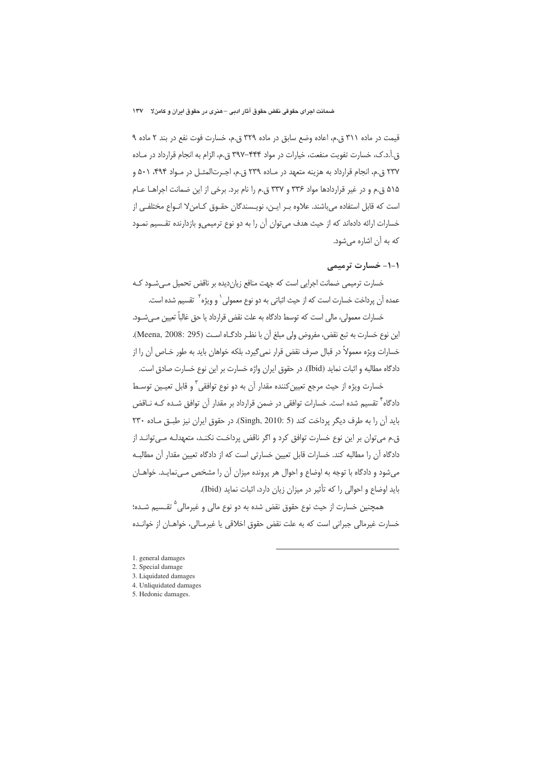قیمت در ماده ۳۱۱ ق.م، اعاده وضع سابق در ماده ۳۲۹ ق.م، خسارت فوت نفع در بند ۲ ماده ۹ ق.آ.د.ک، خسارت تفویت منفعت، خیارات در مواد ۴۴۴–۳۹۷ ق.م، الزام به انجام قرارداد در مـاده ۲۳۷ ق.م، انجام قرارداد به هزینه متعهد در مـاده ۲۳۹ ق.م، اجـرتالمثـل در مـواد ۴۹۴، ۵۰۱ و ۵۱۵ ق.م و در غیر قراردادها مواد ۳۳۶ و ۳۳۷ ق.م را نام برد. برخی از این ضمانت اجراهـا عـام است که قابل استفاده می باشند. علاوه بـر ایـن، نویـسندگان حقـوق کـامنٍ لا انـواع مختلفـی از خسارات ارائه دادهاند که از حیث هدف می توان آن را به دو نوع ترمیمی و بازدارنده تقـسیم نمـود كه به أن اشاره مى شود.

## ١-١- خسارت ترميمي

خسارت ترمیمی ضمانت اجرایی است که جهت منافع زیان دیده بر ناقض تحمیل مے شـود کـه عمده آن پرداخت خسارت است که از حیث اثباتی به دو نوع معمولی` و ویژه<sup>۲</sup> تقسیم شده است.

خسارات معمولي، مالي است كه توسط دادگاه به علت نقض قرارداد يا حق غالباً تعيين مـي شــود. این نوع خسارت به تبع نقض، مفروض ولی مبلغ آن با نظـر دادگـاه اسـت (Meena, 2008: 295). خسارات ويژه معمولاً در قبال صرف نقض قرار نمي گيرد، بلكه خواهان بايد به طور خـاص آن را از دادگاه مطالبه و اثبات نماید (Ibid). در حقوق ایران واژه خسارت بر این نوع خسارت صادق است.

خسارت ویژه از حیث مرجع تعیین کننده مقدار آن به دو نوع توافقی ؓ و قابل تعیـین توسـط دادگاه<sup>۳</sup> تقسیم شده است. خسارات توافقی در ضمن قرارداد بر مقدار آن توافق شـده کــه نــاقض باید آن را به طرف دیگر پرداخت کند (Singh, 2010: 5). در حقوق ایران نیز طبق ماده ٢٣٠ ق.م می توان بر این نوع خسارت توافق کرد و اگر ناقض پرداخت نکنـد، متعهدلـه مـی توانـد از دادگاه آن را مطالبه کند. خسارات قابل تعیین خسارتی است که از دادگاه تعیین مقدار آن مطالبه می شود و دادگاه با توجه به اوضاع و احوال هر پرونده میزان آن را مشخص می نمایـد. خواهـان باید اوضاع و احوالی را که تأثیر در میزان زیان دارد، اثبات نماید (Ibid).

همچنین خسارت از حیث نوع حقوق نقض شده به دو نوع مالی و غیرمالی<sup>۵</sup> تقـسیم شـده؛ خسارت غیرمالی جبرانی است که به علت نقض حقوق اخلاقی یا غیرمـالی، خواهـان از خوانـده

- 1. general damages
- 2. Special damage
- 3 Liquidated damages
- 4. Unliquidated damages
- 5. Hedonic damages.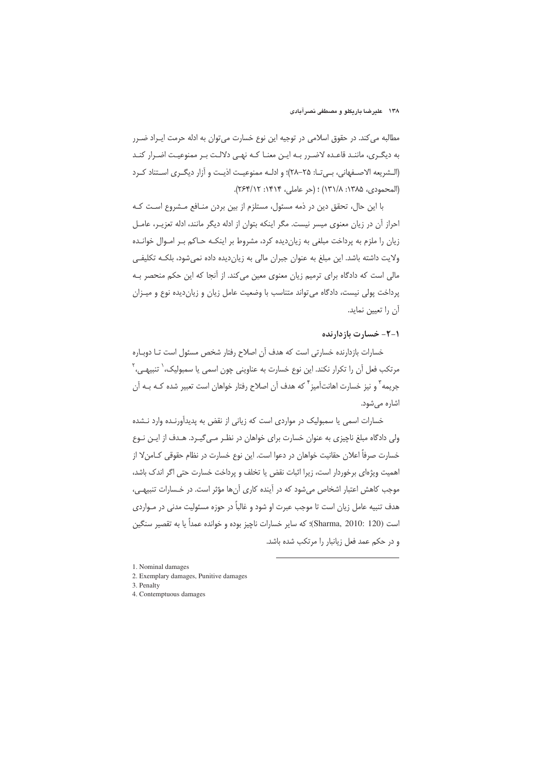مطالبه می کند. در حقوق اسلامی در توجیه این نوع خسارت می توان به ادله حرمت ایــراد ضــرر به دیگری، ماننـد قاعـده لاضـرر بـه ایـن معنـا کـه نهـی دلالـت بـر ممنوعیـت اضـرار کنـد (الـشريعه الاصـفهاني، بـي تـا: ۲۵–۲۸)؛ و ادلـه ممنوعيـت اذيـت و آزار ديگـرى اسـتناد كـرد (المحمودي، ١٣٨۵: ١٣١/٨) ؛ (حر عاملي، ١۴١۴: ٢٤٣/١٢).

با این حال، تحقق دین در ذمه مسئول، مستلزم از بین بردن منـافع مـشروع اسـت کـه احراز آن در زیان معنوی میسر نیست. مگر اینکه بتوان از ادله دیگر مانند، ادله تعزیـر، عامـل زیان را ملزم به پرداخت مبلغی به زیان دیده کرد، مشروط بر اینکـه حـاکم بـر امـوال خوانـده ولايت داشته باشد. اين مبلغ به عنوان جبران مالي به زيان ديده داده نمي شود، بلكـه تكليفـي مالی است که دادگاه برای ترمیم زیان معنوی معین میکند. از آنجا که این حکم منحصر بـه پرداخت پولی نیست، دادگاه می تواند متناسب با وضعیت عامل زیان و زیان دیده نوع و میـزان آن را تعیین نماید.

#### 1-2- خسارت بازدارنده

خسارات بازدارنده خسارتی است که هدف آن اصلاح رفتار شخص مسئول است تـا دوبـاره مرتکب فعل آن را تکرار نکند. این نوع خسارت به عناوینی چون اسمی یا سمبولیک، ٰ تنبیهـی، ٚ جريمه" و نيز خسارت اهانتآميز<sup>"</sup> كه هدف آن اصلاح رفتار خواهان است تعبير شده كـه بـه آن اشاره م*ی*شود.

خسارات اسمی یا سمبولیک در مواردی است که زیانی از نقض به پدیدآورنـده وارد نـشده ولی دادگاه مبلغ ناچیزی به عنوان خسارت برای خواهان در نظـر مـی¢یـرد. هـدف از ایـن نـوع خسارت صرفاً اعلان حقانیت خواهان در دعوا است. این نوع خسارت در نظام حقوقی کـامن۷ از اهمیت ویژهای برخوردار است، زیرا اثبات نقض یا تخلف و پرداخت خسارت حتی اگر اندک باشد، موجب کاهش اعتبار اشخاص می شود که در آینده کاری آنها مؤثر است. در خسارات تنبیهی، هدف تنبیه عامل زیان است تا موجب عبرت او شود و غالباً در حوزه مسئولیت مدنی در مـواردی است (Sharma, 2010: 120)؛ كه ساير خسارات ناچيز بوده و خوانده عمداً يا به تقصير سنگين و در حکم عمد فعل زیانبار را مرتکب شده باشد.

- 2. Exemplary damages, Punitive damages
- 3. Penalty
- 4. Contemptuous damages

<sup>1.</sup> Nominal damages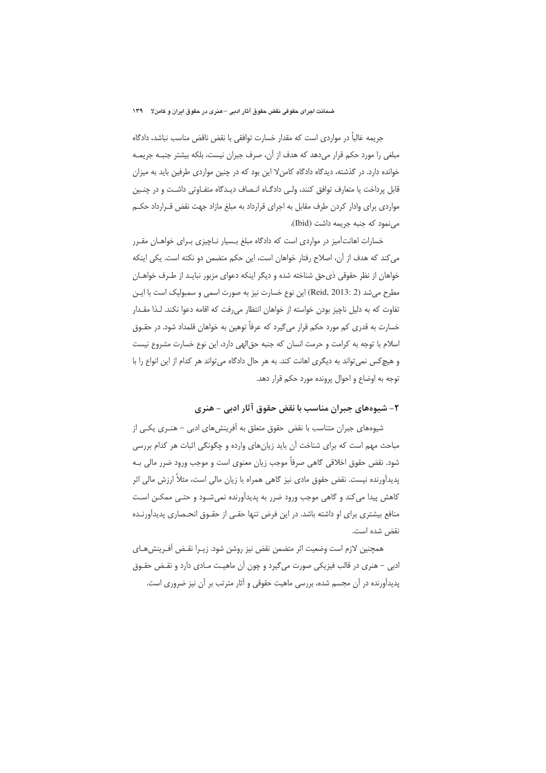جريمه غالباً در مواردي است كه مقدار خسارت توافقي با نقض ناقض مناسب نباشد، دادگاه مبلغی را مورد حکم قرار میدهد که هدف از آن، صرف جبران نیست، بلکه بیشتر جنبـه جریمـه خوانده دارد. در گذشته، دیدگاه دادگاه کامنٍ لا این بود که در چنین مواردی طرفین باید به میزان قابل پرداخت یا متعارف توافق کنند، ولی دادگـاه انـصاف دیـدگاه متفـاوتی داشـت و در چنـین مواردی برای وادار کردن طرف مقابل به اجرای قرارداد به مبلغ مازاد جهت نقض قـرارداد حکـم می نمود که جنبه جریمه داشت (Ibid).

خسارات اهانتآمیز در مواردی است که دادگاه مبلغ بسیار نـاچیزی بـرای خواهـان مقـرر می کند که هدف از آن، اصلاح رفتار خواهان است، این حکم متضمن دو نکته است. یکی اینکه خواهان از نظر حقوقی ذی حق شناخته شده و دیگر اینکه دعوای مزبور نبایـد از طـرف خواهـان مطرح می شد (Reid, 2013: 2) این نوع خسارت نیز به صورت اسمی و سمبولیک است با ایـن تفاوت که به دلیل ناچیز بودن خواسته از خواهان انتظار می رفت که اقامه دعوا نکند. لـذا مقــدار خسارت به قدری کم مورد حکم قرار می گیرد که عرفاً توهین به خواهان قلمداد شود. در حقــوق اسلام با توجه به كرامت و حرمت انسان كه جنبه حق|لهى دارد، اين نوع خسارت مشروع نيست و هيچ کس نمي تواند به ديگري اهانت کند. به هر حال دادگاه مي تواند هر کدام از اين انواع را با توجه به اوضاع و احوال پرونده مورد حکم قرار دهد.

# ۲– شیوههای جبران مناسب با نقض حقوق آثار ادبی – هنری

شیوههای جبران متناسب با نقض حقوق متعلق به آفرینشهای ادبی – هنـری یکـی از مباحث مهم است که برای شناخت آن باید زیانهای وارده و چگونگی اثبات هر کدام بررسی شود. نقض حقوق اخلاقی گاهی صرفاً موجب زیان معنوی است و موجب ورود ضرر مالی بـه پدیدآورنده نیست. نقض حقوق مادی نیز گاهی همراه با زیان مالی است، مثلاً ارزش مالی اثر کاهش پیدا می کند و گاهی موجب ورود ضرر به پدیدآورنده نمیشـود و حتـی ممکـن اسـت منافع بیشتری برای او داشته باشد. در این فرض تنها حقبی از حقـوق انحـصاری پدیدآورنـده نقض شده است.

همحنين لازم است وضعيت اثر متضمن نقض نيز روشن شود. زيرا نقيض أف ريش هياي ادبی – هنری در قالب فیزیکی صورت میگیرد و چون آن ماهیت مـادی دارد و نقـض حقـوق یدیدآورنده در آن مجسم شده، بررسی ماهیت حقوقی و آثار مترتب بر آن نیز ضروری است.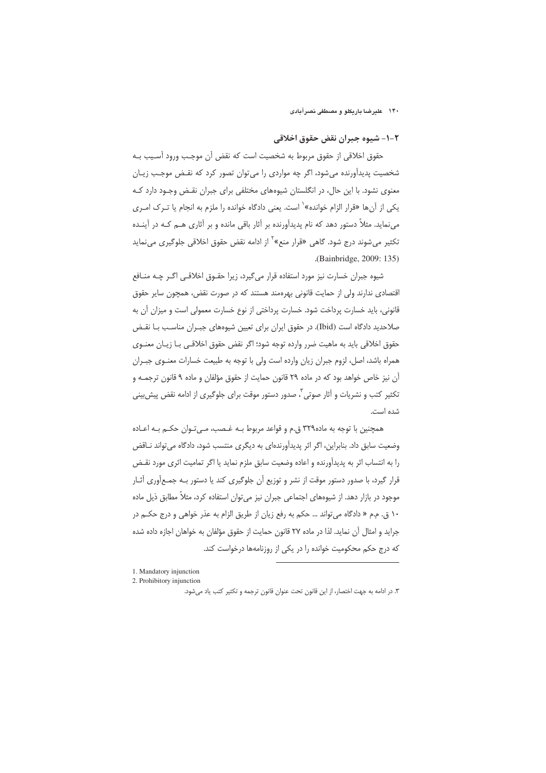#### ۱۴۰ علیرضا باریکلو و مصطفی نصرآبادی

#### ٢-١- شيوه جبران نقض حقوق اخلاقي

حقوق اخلاقی از حقوق مربوط به شخصیت است که نقض آن موجـب ورود آسـیب بـه شخصیت پدیدآورنده می شود، اگر چه مواردی را می توان تصور کرد که نقـض موجـب زیـان معنوی نشود. با این حال، در انگلستان شیوههای مختلفی برای جبران نقـض وجـود دارد کـه یکی از آن ها «قرار الزام خوانده»<sup>۱</sup> است. یعنی دادگاه خوانده را ملزم به انجام یا تـرک امـری می:ماید. مثلاً دستور دهد که نام پدیدآورنده بر آثار باقی مانده و بر آثاری هـم کـه در آینـده تکثیر می شوند درج شود. گاهی «قرار منع»<sup>۲</sup> از ادامه نقض حقوق اخلاقی جلوگیری می *ن*ماید .(Bainbridge, 2009: 135)

شیوه جبران خسارت نیز مورد استفاده قرار می گیرد، زیرا حقــوق اخلاقــی اگــر چــه منــافع اقتصادی ندارند ولی از حمایت قانونی بهرهمند هستند که در صورت نقض، همچون سایر حقوق قانونی، باید خسارت پرداخت شود. خسارت پرداختی از نوع خسارت معمولی است و میزان آن به صلاحدید دادگاه است (Ibid). در حقوق ایران برای تعیین شیوههای جبـران مناسـب بـا نقـض حقوق اخلاقی باید به ماهیت ضرر وارده توجه شود؛ اگر نقض حقوق اخلاقـی بـا زیـان معنــوی همراه باشد، اصل، لزوم جبران زيان وارده است ولي با توجه به طبيعت خسارات معنـوى جبـران آن نیز خاص خواهد بود که در ماده ۲۹ قانون حمایت از حقوق مؤلفان و ماده ۹ قانون ترجمـه و تکثیر کتب و نشریات و آثار صوتی ؓ، صدور دستور موقت برای جلوگیری از ادامه نقض پیش بینی شده است.

همچنین با توجه به ماده۳۲۹ ق.م و قواعد مربوط بـه غـصب، مـی تـوان حکـم بـه اعـاده وضعیت سابق داد. بنابراین، اگر اثر پدیدآورندهای به دیگری منتسب شود، دادگاه می تواند ناقض را به انتساب اثر به پدیدآورنده و اعاده وضعیت سابق ملزم نماید یا اگر تمامیت اثری مورد نقـض قرار گیرد، با صدور دستور موقت از نشر و توزیع آن جلوگیری کند یا دستور بـه جمـع[َوری آثـار موجود در بازار دهد. از شیوههای اجتماعی جبران نیز می توان استفاده کرد، مثلاً مطابق ذیل ماده ۱۰ ق. م.م « دادگاه می تواند … حکم به رفع زیان از طریق الزام به عذر خواهی و درج حکـم در جراید و امثال آن نماید. لذا در ماده ۲۷ قانون حمایت از حقوق مؤلفان به خواهان اجازه داده شده که درج حکم محکومیت خوانده را در یکی از روزنامهها درخواست کند.

<sup>1.</sup> Mandatory injunction

<sup>2.</sup> Prohibitory injunction

۳. در ادامه به جهت اختصار، از این قانون تحت عنوان قانون ترجمه و تکثیر کتب یاد می شود.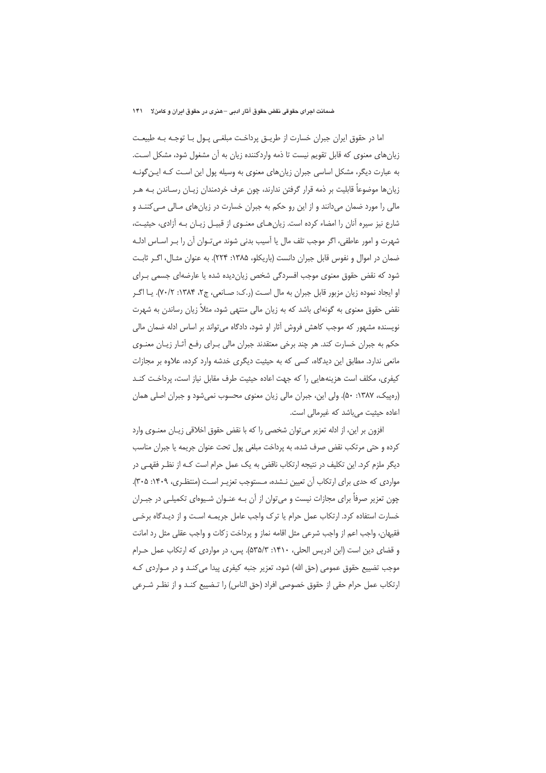اما در حقوق ایران جبران خسارت از طریــق پرداخـت مبلغــی پــول بــا توجــه بــه طبیعـت زیانهای معنوی که قابل تقویم نیست تا ذمه واردکننده زیان به آن مشغول شود، مشکل است. به عبارت دیگر، مشکل اساسی جبران زیانهای معنوی به وسیله پول این اسـت کـه ایـن گونـه زيانها موضوعاً قابليت بر ذمه قرار گرفتن ندارند، چون عرف خردمندان زيـان رسـاندن بـه هــر مالی را مورد ضمان میدانند و از این رو حکم به جبران خسارت در زیانهای مـالی مـی کننـد و شارع نیز سیره آنان را امضاء کرده است. زیان هـای معنــوی از قبیــل زیــان بــه آزادی، حیثیــت، شهرت و امور عاطفی، اگر موجب تلف مال یا آسیب بدنی شوند می تـوان آن را بـر اسـاس ادلـه ضمان در اموال و نفوس قابل جبران دانست (باریکلو، ۱۳۸۵: ۲۲۴). به عنوان مثـال، اگـر ثابـت شود که نقض حقوق معنوی موجب افسردگی شخص زیان دیده شده یا عارضهای جسمی بـرای او ایجاد نموده زیان مزبور قابل جبران به مال است (ر.ک: صـانعی، ج۲، ۱۳۸۴: ۷۰/۲). یـا اگـر نقض حقوق معنوی به گونهای باشد که به زیان مالی منتهی شود، مثلاً زیان رساندن به شهرت نویسنده مشهور که موجب کاهش فروش آثار او شود، دادگاه می تواند بر اساس ادله ضمان مالی حکم به جبران خسارت کند. هر چند برخی معتقدند جبران مالی بـرای رفـع آثـار زیـان معنـوی مانعی ندارد. مطابق این دیدگاه، کسی که به حیثیت دیگری خدشه وارد کرده، علاوه بر مجازات كيفري، مكلف است هزينههايي را كه جهت اعاده حيثيت طرف مقابل نياز است، يرداخت كنـد (رهپیک، ۱۳۸۷: ۵۰). ولی این، جبران مالی زیان معنوی محسوب نمی شود و جبران اصلی همان اعاده حیثیت می باشد که غیرمالی است.

افزون بر این، از ادله تعزیر می توان شخصی را که با نقض حقوق اخلاقی زیـان معنــوی وارد كرده و حتى مرتكب نقض صرف شده، به يرداخت مبلغى يول تحت عنوان جريمه يا جبران مناسب دیگر ملزم کرد. این تکلیف در نتیجه ارتکاب ناقض به یک عمل حرام است کـه از نظـر فقهـی در مواردی که حدی برای ارتکاب آن تعیین نـشده، مـستوجب تعزیـر اسـت (منتظـری، ۱۴۰۹: ۳۰۵). چون تعزیر صرفاً برای مجازات نیست و می توان از آن بـه عنـوان شـیوهای تکمیلـی در جبـران خسارت استفاده كرد. ارتكاب عمل حرام يا ترك واجب عامل جريمـه اسـت و از ديـدگاه برخـى فقيهان، واجب اعم از واجب شرعي مثل اقامه نماز و يرداخت زكات و واجب عقلي مثل رد امانت و قضای دین است (ابن ادریس الحلی، ۱۴۱۰: ۵۳۵/۳). پس، در مواردی که ارتکاب عمل حـرام موجب تضییع حقوق عمومی (حق الله) شود، تعزیر جنبه کیفری پیدا می کنـد و در مـواردی کـه ارتكاب عمل حرام حقى از حقوق خصوصى افراد (حق الناس) را تـضييع كنـد و از نظـر شـرعى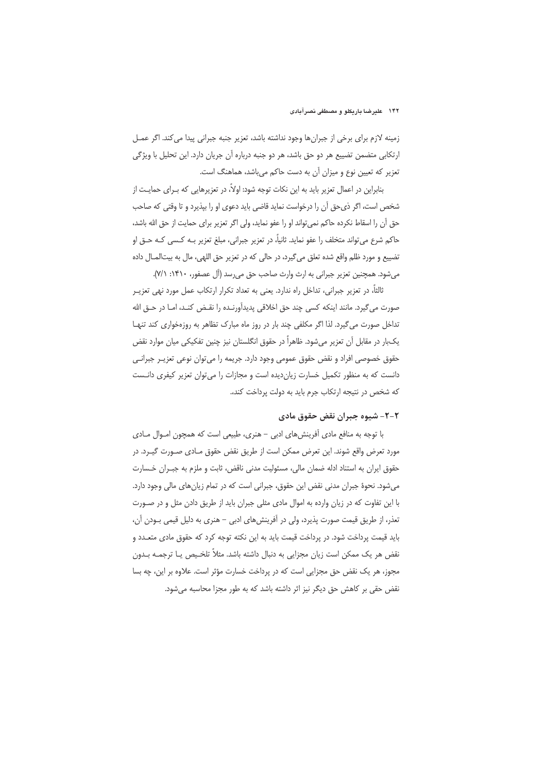#### ۱۴۲ علیرضا باریکلو و مصطفی نصرآبادی

زمینه لازم برای برخی از جبرانها وجود نداشته باشد، تعزیر جنبه جبرانی پیدا می کند. اگر عمـل ارتکابی متضمن تضییع هر دو حق باشد، هر دو جنبه درباره آن جریان دارد. این تحلیل با ویژگی تعزیر که تعیین نوع و میزان آن به دست حاکم میباشد، هماهنگ است.

بنابراین در اعمال تعزیر باید به این نکات توجه شود: اولاً، در تعزیرهایی که بـرای حمایـت از شخص است، اگر ذي حق أن را درخواست نمايد قاضي بايد دعوى او را بيذيرد و تا وقتي كه صاحب حق أن را اسقاط نكرده حاكم نمى تواند او را عفو نمايد، ولى اگر تعزير براى حمايت از حق الله باشد، حاکم شرع مي تواند متخلف را عفو نمايد. ثانياً، در تعزير جبراني، مبلغ تعزير بـه کـسي کـه حـق او تضييع و مورد ظلم واقع شده تعلق مي گيرد، در حالي كه در تعزير حق اللهي، مال به بيتالمـال داده می شود. همچنین تعزیر جبرانی به ارث وارث صاحب حق می رسد (آل عصفور، ۱۴۱۰: ۷/۱).

ثالثاً، در تعزیر جبرانی، تداخل راه ندارد. یعنی به تعداد تکرار ارتکاب عمل مورد نهی تعزیــر صورت مي گيرد. مانند اينكه كسي چند حق اخلاقي پديدآورنــده را نقـض كنـد، امــا در حــق الله تداخل صورت می گیرد. لذا اگر مکلفی چند بار در روز ماه مبارک تظاهر به روزهخواری کند تنها یکبار در مقابل آن تعزیر میشود. ظاهراً در حقوق انگلستان نیز چنین تفکیکی میان موارد نقض حقوق خصوصی افراد و نقض حقوق عمومی وجود دارد. جریمه را میتوان نوعی تعزیـر جبرانـی دانست که به منظور تکمیل خسارت زیاندیده است و مجازات را می توان تعزیر کیفری دانـست كه شخص در نتيجه ارتكاب جرم بايد به دولت پرداخت كند،.

## ٢-٢- شيوه جبران نقض حقوق مادي

با توجه به منافع مادی آفرینشهای ادبی – هنری، طبیعی است که همچون امــوال مــادی مورد تعرض واقع شوند. این تعرض ممکن است از طریق نقض حقوق مـادی صـورت گیـرد. در حقوق ايران به استناد ادله ضمان مالي، مسئوليت مدنى ناقض، ثابت و ملزم به جبـران خـسارت می شود. نحوهٔ جبران مدنی نقض این حقوق، جبرانی است که در تمام زیانهای مالی وجود دارد. با این تفاوت که در زبان وارده به اموال مادی مثلی جبران باید از طریق دادن مثل و در صورت تعذر، از طریق قیمت صورت پذیرد، ولی در آفرینشهای ادبی – هنری به دلیل قیمی بـودن آن، باید قیمت پرداخت شود. در پرداخت قیمت باید به این نکته توجه کرد که حقوق مادی متعـدد و نقض هر یک ممکن است زیان مجزایی به دنبال داشته باشد. مثلاً تلخـیص یـا ترجمـه بـدون مجوز، هر یک نقض حق مجزایی است که در پرداخت خسارت مؤثر است. علاوه بر این، چه بسا نقض حقی بر کاهش حق دیگر نیز اثر داشته باشد که به طور مجزا محاسبه می شود.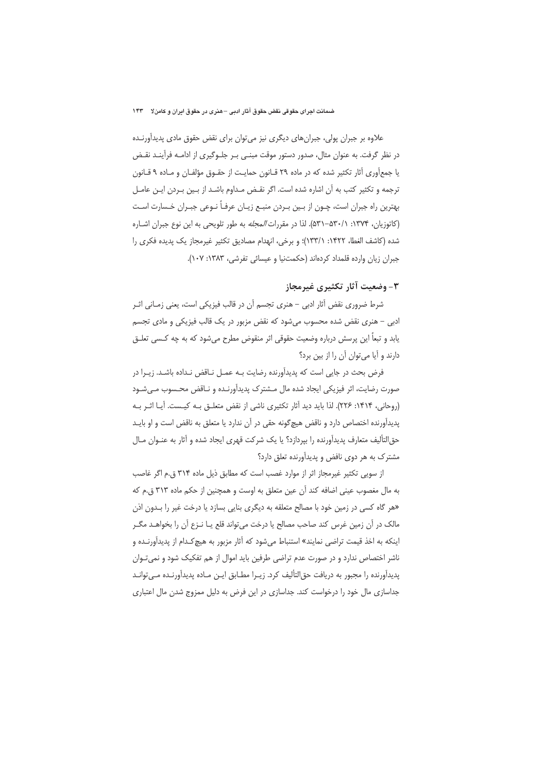علاوه بر جبران پولی، جبرانهای دیگری نیز میتوان برای نقض حقوق مادی پدیدآورنـده در نظر گرفت. به عنوان مثال، صدور دستور موقت مبنـى بـر جلـوگیرى از ادامـه فرآینـد نقـض یا جمع[وری آثار تکثیر شده که در ماده ۲۹ قـانون حمایـت از حقـوق مؤلفـان و مـاده ۹ قـانون ترجمه و تکثیر کتب به آن اشاره شده است. اگر نقـض مـداوم باشـد از بـین بـردن ایـن عامـل بهترین راه جبران است، چـون از بـین بـردن منبـع زیـان عرفـاً نـوعی جبـران خـسارت اسـت (کاتوزیان، ۱۳۷۴: ۰/۱۳۷۱). لذا در مقررات *المجله* به طور تلویحی به این نوع جبران اشـاره شده (كاشف الغطا، ١۴٢٢: ١٣٣/١)؛ و برخي، انهدام مصاديق تكثير غيرمجاز يك يديده فكرى را جبران زيان وارده قلمداد كردهاند (حكمتنيا و عيسائي تفرشي، ١٣٨٣: ١٠٧).

## 3- وضعیت آثار تکثیری غیرمجاز

شرط ضروری نقض أثار ادبی – هنری تجسم أن در قالب فیزیکی است، یعنی زمـانی اثـر ادبی – هنری نقض شده محسوب می شود که نقض مزبور در یک قالب فیزیکی و مادی تجسم يابد و تبعاً اين پرسش درباره وضعيت حقوقي اثر منقوض مطرح مي شود كه به چه كـسى تعلـق دارند و آیا می توان آن را از بین برد؟

فرض بحث در جایی است که پدیدآورنده رضایت بـه عمـل نـاقض نـداده باشـد. زیـرا در صورت رضایت، اثر فیزیکی ایجاد شده مال مـشترک پدیدآورنـده و نـاقض محـسوب مـیشـود (روحانی، ۱۴۱۴: ۲۲۶). لذا باید دید آثار تکثیری ناشی از نقض متعلـق بـه کیـست. آیـا اثـر بـه پدیدآورنده اختصاص دارد و ناقض هیچگونه حقی در آن ندارد یا متعلق به ناقض است و او بایـد حق|لتأليف متعارف يديدآورنده را بيردازد؟ يا يک شرکت قهري ايجاد شده و آثار به عنـوان مـال مشترک به هر دوی نافض و پدیدآورنده تعلق دارد؟

از سویی تکثیر غیرمجاز اثر از موارد غصب است که مطابق ذیل ماده ۳۱۴ ق.م اگر غاصب به مال مغصوب عيني اضافه كند آن عين متعلق به اوست و همچنين از حكم ماده ٣١٣ ق.م كه «هر گاه کسی در زمین خود با مصالح متعلقه به دیگری بنایی بسازد یا درخت غیر را بـدون اذن مالک در آن زمین غرس کند صاحب مصالح یا درخت می¤واند قلع یـا نـزع آن را بخواهـد مگـر اینکه به اخذ قیمت تراضی نمایند» استنباط می شود که آثار مزبور به هیچ *کـد*ام از پدیدآورنـده و ناشر اختصاص ندارد و در صورت عدم تراضی طرفین باید اموال از هم تفکیک شود و نمی تـوان پدیدآورنده را مجبور به دریافت حق|لتألیف کرد. زیـرا مطـابق ایـن مـاده پدیدآورنـده مـی توانـد جداسازی مال خود را درخواست کند. جداسازی در این فرض به دلیل ممزوج شدن مال اعتباری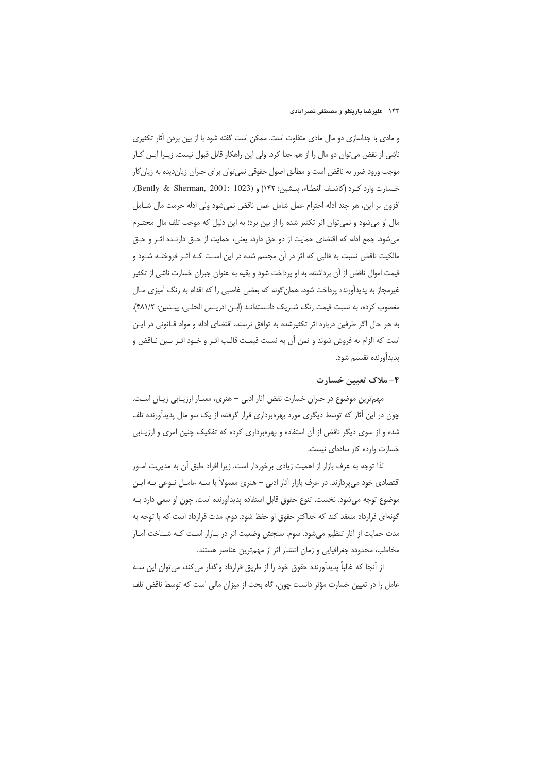و مادی با جداسازی دو مال مادی متفاوت است. ممکن است گفته شود با از بین بردن آثار تکثیری ناشی از نقض می توان دو مال را از هم جدا کرد، ولی این راهکار قابل قبول نیست. زیـرا ایـن کـار موجب ورود ضرر به ناقض است و مطابق اصول حقوقی نمی توان برای جبران زیان دیده به زیان کار خسارت وارد كرد (كاشف الغطاء، ييشين: ١۴٢) و (1023 : Bently & Sherman, 2001:). افزون بر این، هر چند ادله احترام عمل شامل عمل ناقض نمیشود ولی ادله حرمت مال شـامل مال او می شود و نمی توان اثر تکثیر شده را از بین برد؛ به این دلیل که موجب تلف مال محتـرم می شود. جمع ادله که اقتضای حمایت از دو حق دارد، یعنی، حمایت از حـق دارنـده اثـر و حـق مالکیت ناقض نسبت به قالبی که اثر در آن مجسم شده در این است کـه اثـر فروختـه شـود و قیمت اموال ناقض از آن برداشته، به او پرداخت شود و بقیه به عنوان جبران خسارت ناشی از تکثیر غیرمجاز به پدیدآورنده پرداخت شود، همان گونه که بعضی غاصبی را که اقدام به رنگ آمیزی مـال مغصوب كرده، به نسبت قيمت رنگ شـريک دانـستهانـد (ابـن ادريـس الحلـي، پيـشين: ۴۸۱/۲). به هر حال اگر طرفین درباره اثر تکثیرشده به توافق نرسند، اقتضای ادله و مواد قـانونی در ایـن است كه الزام به فروش شوند و ثمن آن به نسبت قيمـت قالـب اثـر و خـود اثـر بـين نــاقض و يديدأورنده تقسيم شود.

## ۴- ملاک تعیین خسارت

مهمترین موضوع در جبران خسارت نقض آثار ادبی – هنری، معیـار ارزیـابی زیـان اسـت. چون در این آثار که توسط دیگری مورد بهرهبرداری قرار گرفته، از یک سو مال پدیدآورنده تلف شده و از سوی دیگر ناقض از آن استفاده و بهرهبرداری کرده که تفکیک چنین امری و ارزیـابی خسارت وارده كار سادهاى نيست.

لذا توجه به عرف بازار از اهميت زيادي برخوردار است. زيرا افراد طبق آن به مديريت امـور اقتصادی خود میپردازند. در عرف بازار آثار ادبی – هنری معمولاً با سـه عامــل نــوعی بــه ایــن موضوع توجه می شود. نخست، تنوع حقوق قابل استفاده پدیدآورنده است، چون او سعی دارد بـه گونهای قرارداد منعقد کند که حداکثر حقوق او حفظ شود. دوم، مدت قرارداد است که با توجه به مدت حمایت از آثار تنظیم می شود. سوم، سنجش وضعیت اثر در بـازار اسـت کـه شـناخت آمـار مخاطب، محدوده جغرافیایی و زمان انتشار اثر از مهمترین عناصر هستند.

از آنجا که غالباً پدیدآورنده حقوق خود را از طریق قرارداد واگذار میکند، میتوان این سـه عامل را در تعیین خسارت مؤثر دانست چون، گاه بحث از میزان مالی است که توسط ناقض تلف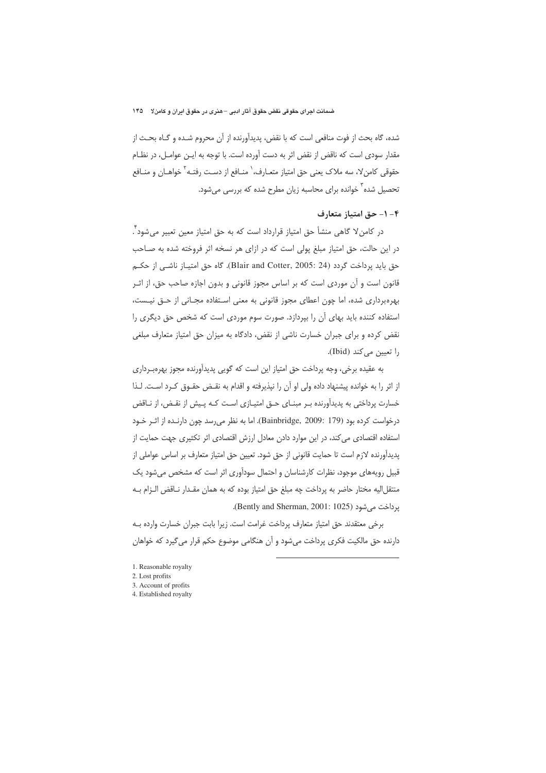شده، گاه بحث از فوت منافعي است كه با نقض، پديدآورنده از آن محروم شـده و گـاه بحـث از مقدار سودی است که ناقض از نقض اثر به دست آورده است. با توجه به ایـن عوامـل، در نظـام حقوقی کامنٍ لا، سه ملاک یعنی حق امتیاز متعـارف، ٰ منــافع از دســت رفتــه ٔ خواهــان و منــافع تحصیل شده<sup>۳</sup> خوانده برای محاسبه زیان مطرح شده که بررسی میشود.

# ۴ - ۱ - حق امتیاز متعارف

در کامنٍ لا گاهی منشأ حق امتیاز قرارداد است که به حق امتیاز معین تعبیر میشود ٌ. در این حالت، حق امتیاز مبلغ پولی است که در ازای هر نسخه اثر فروخته شده به صـاحب حق بايد يرداخت گردد (Blair and Cotter, 2005: 24). گاه حق امتيـاز ناشـي از حكـم قانون است و آن موردی است که بر اساس مجوز قانونی و بدون اجازه صاحب حق، از اثـر بهرهبرداری شده، اما چون اعطای مجوز قانونی به معنی استفاده مجـانی از حــق نیــست، استفاده کننده باید بهای آن را بیردازد. صورت سوم موردی است که شخص حق دیگری را نقض کرده و برای جبران خسارت ناشی از نقض، دادگاه به میزان حق امتیاز متعارف مبلغی را تعيين مي كند (Ibid).

به عقیده برخی، وجه پرداخت حق امتیاز این است که گویی پدیدآورنده مجوز بهرهبرداری از اثر را به خوانده پیشنهاد داده ولی او آن را نپذیرفته و اقدام به نقـض حقـوق کـرد اسـت. لـذا خسارت پرداختی به پدیدآورنده بـر مبنـای حـق امتیـازی اسـت کـه پـیش از نقـض، از نـاقض درخواست كرده بود (Bainbridge, 2009: 179). اما به نظر مى رسد چون دارنـده از اثـر خـود استفاده اقتصادی می کند، در این موارد دادن معادل ارزش اقتصادی اثر تکثیری جهت حمایت از پدیدآورنده لازم است تا حمایت قانونی از حق شود. تعیین حق امتیاز متعارف بر اساس عواملی از قبیل رویههای موجود، نظرات کارشناسان و احتمال سودآوری اثر است که مشخص می شود یک منتقل|ليه مختار حاضر به پرداخت چه مبلغ حق امتياز بوده كه به همان مقـدار نــاقض الـزام بــه برداخت می شود (Bently and Sherman, 2001: 1025).

برخي معتقدند حق امتياز متعارف پرداخت غرامت است. زيرا بابت جبران خسارت وارده بـه دارنده حق مالکیت فکری پرداخت میشود و آن هنگامی موضوع حکم قرار می گیرد که خواهان

- 1. Reasonable royalty
- 2. Lost profits
- 3. Account of profits
- 4. Established royalty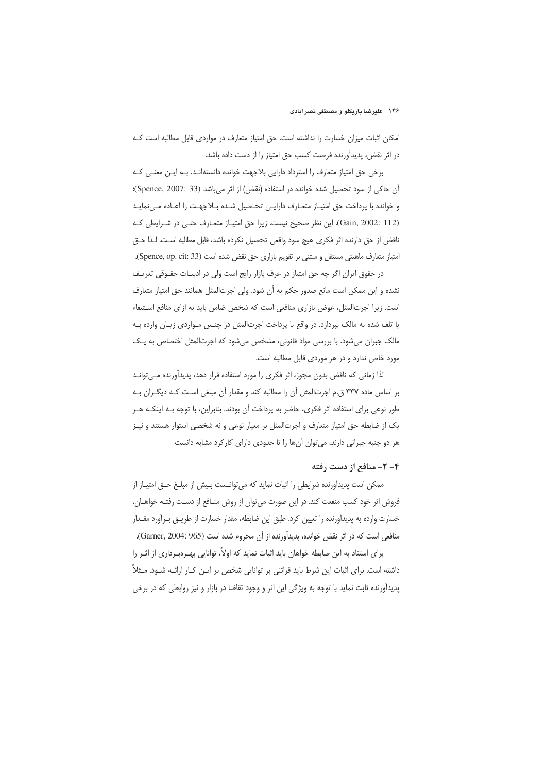امکان اثبات میزان خسارت را نداشته است. حق امتیاز متعارف در مواردی قابل مطالبه است ک در اثر نقض، پدیدآورنده فرصت کسب حق امتیاز را از دست داده باشد.

برخی حق امتیاز متعارف را استرداد دارایی بلاجهت خوانده دانستهانـد. بــه ایــن معنــی کــه آن حاكي از سود تحصيل شده خوانده در استفاده (نقض) از اثر مي باشد (Spence, 2007: 33)؛ و خوانده با پرداخت حق امتیـاز متعـارف دارایـی تحـصیل شـده بـلاجهـت را اعـاده مـی نمایـد (Gain, 2002: 112). این نظر صحیح نیست. زیرا حق امتیـاز متعـارف حتـی در شـرایطی کـه ناقض از حق دارنده اثر فكرى هيچ سود واقعى تحصيل نكرده باشد، قابل مطالبه است. لـذا حـق امتیاز متعارف ماهیتی مستقل و مبتنی بر تقویم بازاری حق نقض شده است (Spence, op. cit: 33).

در حقوق ایران اگر چه حق امتیاز در عرف بازار رایج است ولی در ادبیـات حقـوقی تعریـف نشده و این ممکن است مانع صدور حکم به آن شود. ولی اجرتالمثل همانند حق امتیاز متعارف است. زیرا اجرتالمثل، عوض بازاری منافعی است که شخص ضامن باید به ازای منافع استیفاء یا تلف شده به مالک بپردازد. در واقع با پرداخت اجرتالمثل در چنسین مواردی زیـان وارده بـه مالک جبران می شود. با بررسی مواد قانونی، مشخص می شود که اجرتالمثل اختصاص به یک مورد خاص ندارد و در هر موردی قابل مطالبه است.

لذا زمانی که ناقض بدون مجوز، اثر فکری را مورد استفاده قرار دهد، پدیدآورنده مـیتوانـد بر اساس ماده ۳۳۷ ق.م اجرتالمثل آن را مطالبه کند و مقدار آن مبلغی است کـه دیگـران بـه طور نوعی برای استفاده اثر فکری، حاضر به پرداخت آن بودند. بنابراین، با توجه بـه اینکـه هـر یک از ضابطه حق امتیاز متعارف و اجرتالمثل بر معیار نوعی و نه شخصی استوار هستند و نیـز هر دو جنبه جبرانی دارند، می توان آنها را تا حدودی دارای کارکرد مشابه دانست

## ۴ - ۲ - منافع از دست رفته

ممكن است پديدآورنده شرايطي را اثبات نمايد كه مي¤وانـست بـيش از مبلـغ حــق امتيــاز از فروش اثر خود کسب منفعت کند. در این صورت میتوان از روش منـافع از دسـت رفتـه خواهـان، خسارت وارده به پدیدآورنده را تعیین کرد. طبق این ضابطه، مقدار خسارت از طریــق بـرآورد مقـدار منافعی است که در اثر نقض خوانده، پدیدآورنده از آن محروم شده است (Garner, 2004: 965).

برای استناد به این ضابطه خواهان باید اثبات نماید که اولاً، توانایی بهـرهبـرداری از اثـر را داشته است. برای اثبات این شرط باید قرائنی بر توانایی شخص بر ایـن کـار ارائـه شـود. مـثلاً پديدآورنده ثابت نمايد با توجه به ويژگي اين اثر و وجود تقاضا در بازار و نيز روابطي كه در برخي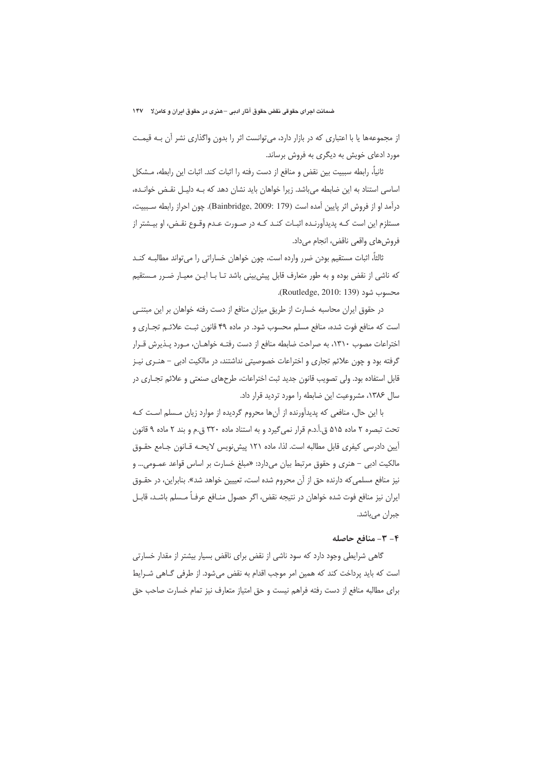از مجموعهها یا با اعتباری که در بازار دارد، می توانست اثر را بدون واگذاری نشر آن بـه قیمـت مورد ادعای خویش به دیگری به فروش برساند.

ثانیا، رابطه سببیت بین نقض و منافع از دست رفته را اثبات کند. اثبات این رابطه، مــشکل اساسی استناد به این ضابطه میباشد. زیرا خواهان باید نشان دهد که بـه دلیـل نقـض خوانـده، درآمد او از فروش اثر پایین آمده است (Bainbridge, 2009: 179). چون احراز رابطه سـببیت، مستلزم این است کـه پدیدآورنـده اثبـات کنـد کـه در صـورت عـدم وقـوع نقـض، او بیـشتر از فروشهاي واقعي ناقض، انجام مي داد.

ثالثاً، اثبات مستقيم بودن ضرر وارده است، چون خواهان خساراتي را ميïواند مطالبـه كنـد كه ناشي از نقض بوده و به طور متعارف قابل پيش بيني باشد تـا بـا ايـن معيـار ضـرر مـستقيم محسوب شود (Routledge, 2010: 139).

در حقوق ایران محاسبه خسارت از طریق میزان منافع از دست رفته خواهان بر این مبتنـی است که منافع فوت شده، منافع مسلم محسوب شود. در ماده ۴۹ قانون ثبت علائـم تجـاري و اختراعات مصوب ١٣١٠، به صراحت ضابطه منافع از دست رفتـه خواهـان، مـورد پـذيرش قـرار گرفته بود و چون علائم تجاری و اختراعات خصوصیتی نداشتند، در مالکیت ادبی – هنـری نیـز قابل استفاده بود. ولي تصويب قانون جديد ثبت اختراعات، طرحهاي صنعتي و علائم تجــاري در سال ۱۳۸۶، مشروعیت این ضابطه را مورد تردید قرار داد.

با این حال، منافعی که پدیدآورنده از آنها محروم گردیده از موارد زیان مـسلم اسـت کـه تحت تبصره ٢ ماده ۵۱۵ ق.آ.د.م قرار نمي گيرد و به استناد ماده ٣٢٠ ق.م و بند ٢ ماده ٩ قانون آيين دادرسي كيفري قابل مطالبه است. لذا، ماده ١٢١ پيش نويس لايحـه قـانون جـامع حقـوق مالكيت ادبي – هنري و حقوق مرتبط بيان مي دارد: «مبلغ خسارت بر اساس قواعد عمـومي... و نیز منافع مسلمی که دارنده حق از آن محروم شده است، تعییین خواهد شد». بنابراین، در حقـوق ايران نيز منافع فوت شده خواهان در نتيجه نقض، اگر حصول منــافع عرفــاً مــسلم باشــد، قابــل جبران مىباشد.

## ۴- ۳- منافع حاصله

گاهی شرایطی وجود دارد که سود ناشی از نقض برای ناقض بسیار بیشتر از مقدار خسارتی است که باید پرداخت کند که همین امر موجب اقدام به نقض میشود. از طرفی گـاهی شـرایط برای مطالبه منافع از دست رفته فراهم نیست و حق امتیاز متعارف نیز تمام خسارت صاحب حق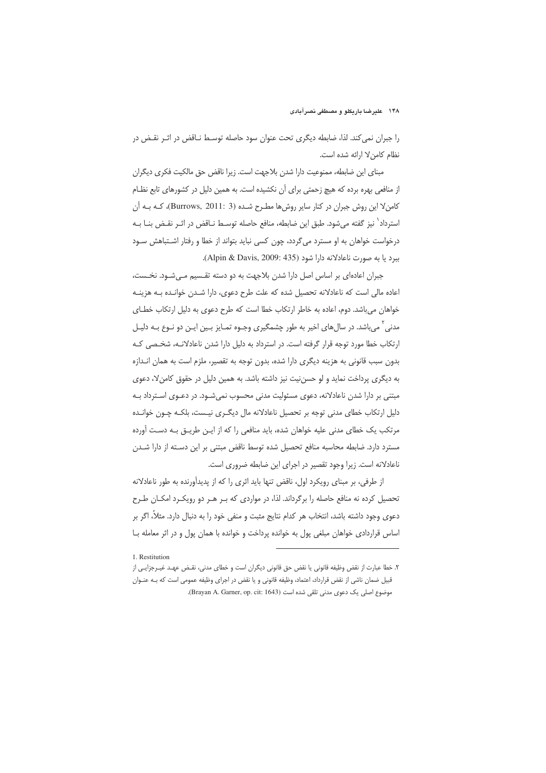را جبران نمی کند. لذا، ضابطه دیگری تحت عنوان سود حاصله توسـط نـاقض در اثـر نقـض در نظام كامن لا ارائه شده است.

مبنای این ضابطه، ممنوعیت دارا شدن بلاجهت است. زیرا ناقض حق مالکیت فکری دیگران از منافعی بهره برده که هیچ زحمتی برای آن نکشیده است. به همین دلیل در کشورهای تابع نظـام كامن لا اين روش جبران در كنار ساير روش ها مطـرح شـده (Burrows, 2011: 3)، كـه بـه آن استرداد<sup>\</sup> نیز گفته میشود. طبق این ضابطه، منافع حاصله توسـط نـاقض در اثـر نقـض بنــا بــه درخواست خواهان به او مسترد می گردد، چون کسی نباید بتواند از خطا و رفتار اشتباهش سـود ببرد يا به صورت ناعادلانه دارا شود (Alpin & Davis, 2009: 435).

جبران اعادهای بر اساس اصل دارا شدن بلاجهت به دو دسته تقسیم مـیشـود. نخـست، اعاده مالی است که ناعادلانه تحصیل شده که علت طرح دعوی، دارا شدن خوانـده بـه هزینـه خواهان می باشد. دوم، اعاده به خاطر ارتکاب خطا است که طرح دعوی به دلیل ارتکاب خطـای مدنی <sup>۲</sup>می باشد. در سال های اخیر به طور چشمگیری وجـوه تمـایز بـین ایـن دو نـوع بـه دلیـل ارتکاب خطا مورد توجه قرار گرفته است. در استرداد به دلیل دارا شدن ناعادلانـه، شخـصی کـه بدون سبب قانونی به هزینه دیگری دارا شده، بدون توجه به تقصیر، ملزم است به همان انـدازه به دیگری پرداخت نماید و لو حسن نیت نیز داشته باشد. به همین دلیل در حقوق کامن لا، دعوی مبتنی بر دارا شدن ناعادلانه، دعوی مسئولیت مدنی محسوب نمیشـود. در دعـوی اسـترداد بـه دلیل ارتکاب خطای مدنی توجه بر تحصیل ناعادلانه مال دیگـری نیـست، بلکـه چـون خوانـده مرتکب یک خطای مدنی علیه خواهان شده، باید منافعی را که از ایـن طریــق بـه دسـت آورده مسترد دارد. ضابطه محاسبه منافع تحصیل شده توسط ناقض مبتنی بر این دسـته از دارا شـدن ناعادلانه است. زیرا وجود تقصیر در اجرای این ضابطه ضروری است.

از طرفی، بر مبنای رویکرد اول، ناقض تنها باید اثری را که از پدیدآورنده به طور ناعادلانه تحصیل کرده نه منافع حاصله را برگرداند. لذا، در مواردی که بـر هـر دو رویکـرد امکـان طـرح دعوى وجود داشته باشد، انتخاب هر كدام نتايج مثبت و منفى خود را به دنبال دارد. مثلاً، اگر بر اساس قراردادی خواهان مبلغی پول به خوانده پرداخت و خوانده با همان پول و در اثر معامله بـا

<sup>1.</sup> Restitution

٢. خطا عبارت از نقض وظيفه قانوني يا نقض حق قانوني ديگران است و خطاي مدني، نقـض عهـد غيـرجزايـي از قبیل ضمان ناشی از نقض قرارداد، اعتماد، وظیفه قانونی و یا نقض در اجرای وظیفه عمومی است که بـه عنـوان موضوع اصلی یک دعوی مدنی تلقی شده است (Brayan A. Garner, op. cit: 1643).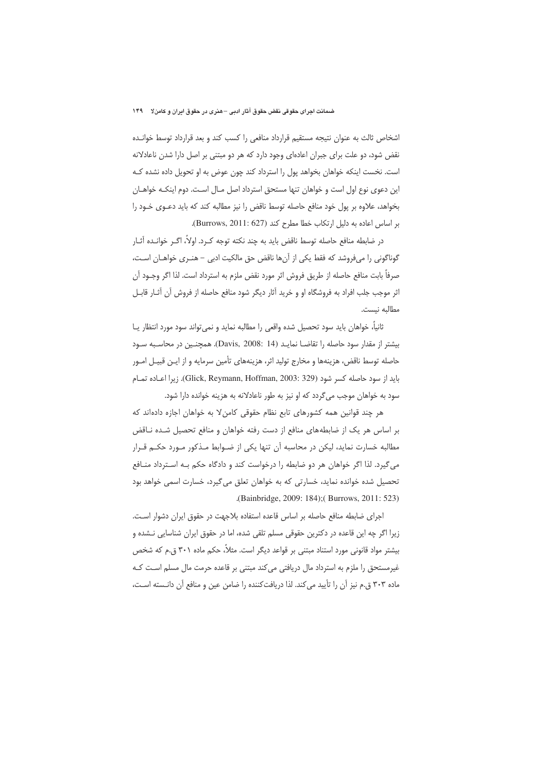اشخاص ثالث به عنوان نتيجه مستقيم قرارداد منافعي را كسب كند و بعد قرارداد توسط خوانـده نقض شود، دو علت برای جبران اعادهای وجود دارد که هر دو مبتنی بر اصل دارا شدن ناعادلانه است. نخست اینکه خواهان بخواهد پول را استرداد کند چون عوض به او تحویل داده نشده کـه این دعوی نوع اول است و خواهان تنها مستحق استرداد اصل مـال اسـت. دوم اینکـه خواهـان بخواهد، علاوه بر پول خود منافع حاصله توسط ناقض را نیز مطالبه کند که باید دعـوی خـود را بر اساس اعاده به دلیل ارتکاب خطا مطرح کند (Burrows, 2011: 627).

در ضابطه منافع حاصله توسط ناقض بايد به چند نكته توجه كـرد. اولاً، اگـر خوانـده آثـار گوناگونی را میفروشد که فقط یکی از آنها ناقض حق مالکیت ادبی – هنـری خواهـان اسـت، صرفاً بابت منافع حاصله از طريق فروش اثر مورد نقض ملزم به استرداد است. لذا اگر وجـود آن اثر موجب جلب افراد به فروشگاه او و خرید آثار دیگر شود منافع حاصله از فروش آن آثـار قابـل مطالبه نيست.

ثانياً، خواهان بايد سود تحصيل شده واقعي را مطالبه نمايد و نمي تواند سود مورد انتظار يــا بيشتر از مقدار سود حاصله را تقاضــا نمايــد (Davis, 2008: 14). همچنــين در محاسـبه سـود حاصله توسط ناقض، هزینهها و مخارج تولید اثر، هزینههای تأمین سرمایه و از ایـن قبیـل امـور بايد از سود حاصله كسر شود (Glick, Reymann, Hoffman, 2003: 329). زيرا اعباده تمبام سود به خواهان موجب میگردد که او نیز به طور ناعادلانه به هزینه خوانده دارا شود.

هر چند قوانین همه کشورهای تابع نظام حقوقی کامن لا به خواهان اجازه دادهاند که بر اساس هر یک از ضابطههای منافع از دست رفته خواهان و منافع تحصیل شـده نــاقض مطالبه خسارت نماید، لیکن در محاسبه آن تنها یکی از ضـوابط مـذکور مـورد حکـم قـرار می گیرد. لذا اگر خواهان هر دو ضابطه را درخواست کند و دادگاه حکم بـه اسـترداد منـافع تحصیل شده خوانده نماید، خسارتی که به خواهان تعلق می گیرد، خسارت اسمی خواهد بود .(Bainbridge, 2009: 184); (Burrows, 2011: 523)

اجرای ضابطه منافع حاصله بر اساس قاعده استفاده بلاجهت در حقوق ایران دشوار است. زیرا اگر چه این قاعده در دکترین حقوقی مسلم تلقی شده، اما در حقوق ایران شناسایی نـشده و بیشتر مواد قانونی مورد استناد مبتنی بر قواعد دیگر است. مثلاً، حکم ماده ۳۰۱ ق.م که شخص غیرمستحق را ملزم به استرداد مال دریافتی می کند مبتنی بر قاعده حرمت مال مسلم است کـه ماده ۳۰۳ ق.م نیز آن را تأیید می کند. لذا دریافت کننده را ضامن عین و منافع آن دانـسته اسـت،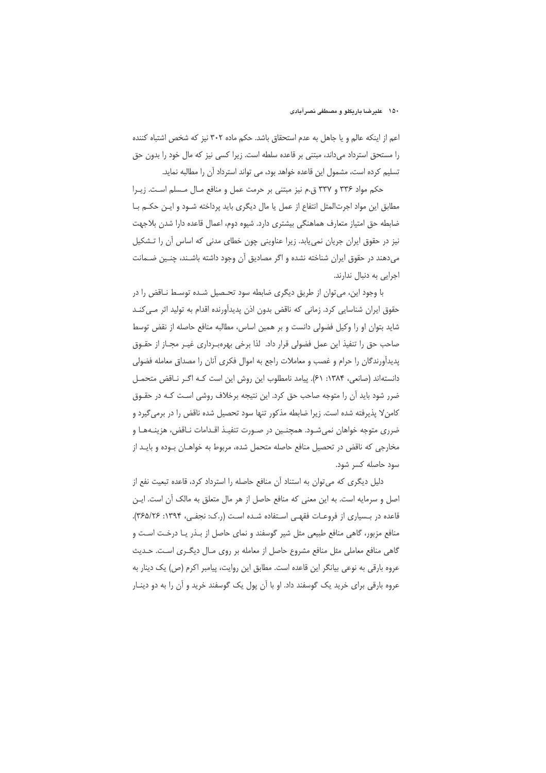اعم از اینکه عالم و یا جاهل به عدم استحقاق باشد. حکم ماده ۳۰۲ نیز که شخص اشتباه کننده را مستحق استرداد میداند، مبتنی بر قاعده سلطه است. زیرا کسی نیز که مال خود را بدون حق تسلیم کرده است، مشمول این قاعده خواهد بود، می تواند استرداد آن را مطالبه نماید.

حکم مواد ۳۳۶ و ۳۳۷ ق.م نیز مبتنی بر حرمت عمل و منافع مال مسلم است. زیرا مطابق این مواد اجرتالمثل انتفاع از عمل یا مال دیگری باید پرداخته شـود و ایـن حکـم بـا ضابطه حق امتیاز متعارف هماهنگی بیشتری دارد. شیوه دوم، اعمال قاعده دارا شدن بلاجهت نیز در حقوق ایران جریان نمی یابد. زیرا عناوینی چون خطای مدنی که اساس آن را تشکیل میدهند در حقوق ایران شناخته نشده و اگر مصادیق آن وجود داشته باشـند، چنـین ضـمانت اجرایی به دنبال ندارند.

با وجود این، می توان از طریق دیگری ضابطه سود تحـصیل شـده توسـط نـاقض را در حقوق ایران شناسایی کرد. زمانی که ناقض بدون اذن پدیدآورنده اقدام به تولید اثر مـی کنــد شاید بتوان او را وکیل فضولی دانست و بر همین اساس، مطالبه منافع حاصله از نقض توسط صاحب حق را تنفيذ اين عمل فضولي قرار داد. لذا برخي بهرهبـرداري غيـر مجـاز از حقــوق پدیدآورندگان را حرام و غصب و معاملات راجع به اموال فکری آنان را مصداق معامله فضولی دانستهاند (صانعي، ١٣٨۴: ۶١). پيامد نامطلوب اين روش اين است كـه اگـر نـاقض متحمـل ضرر شود باید آن را متوجه صاحب حق کرد. این نتیجه برخلاف روشی است کـه در حقـوق كامن لا پذيرفته شده است. زيرا ضابطه مذكور تنها سود تحصيل شده ناقض را در برمي گيرد و ضرري متوجه خواهان نمي شـود. همچنـين در صـورت تنفيـذ اقـدامات نـاقض، هزينـههـا و مخارجی که ناقض در تحصیل منافع حاصله متحمل شده، مربوط به خواهـان بـوده و بایـد از سود حاصله کسر شود.

دلیل دیگری که می توان به استناد آن منافع حاصله را استرداد کرد، قاعده تبعیت نفع از اصل و سرمایه است. به این معنی که منافع حاصل از هر مال متعلق به مالک آن است. ایـن قاعده در بسیاری از فروعات فقهی استفاده شده است (ر.ک: نجفی، ۱۳۹۴: ۳۶۵/۲۶). منافع مزبور، گاهی منافع طبیعی مثل شیر گوسفند و نمای حاصل از بـذر یـا درخـت اسـت و گاهی منافع معاملی مثل منافع مشروع حاصل از معامله بر روی مـال دیگـری اسـت. حـدیث عروه بارقی به نوعی بیانگر این قاعده است. مطابق این روایت، پیامبر اکرم (ص) یک دینار به عروه بارقی برای خرید یک گوسفند داد. او با آن پول یک گوسفند خرید و آن را به دو دینـار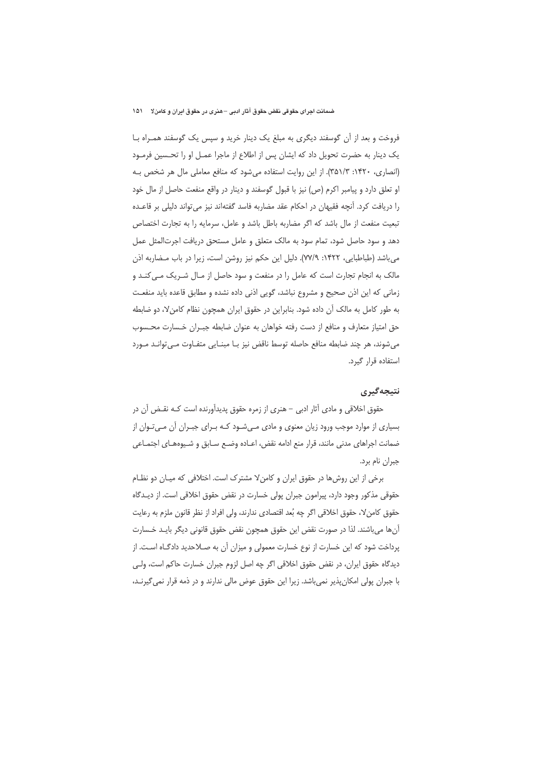فروخت و بعد از آن گوسفند دیگری به مبلغ یک دینار خرید و سپس یک گوسفند همـراه بـا یک دینار به حضرت تحویل داد که ایشان پس از اطلاع از ماجرا عمـل او را تحـسین فرمـود (انصاری، ۱۴۲۰: ۳۵۱/۳). از این روایت استفاده میشود که منافع معاملی مال هر شخص بـه او تعلق دارد و پیامبر اکرم (ص) نیز با قبول گوسفند و دینار در واقع منفعت حاصل از مال خود را دریافت کرد. آنچه فقیهان در احکام عقد مضاربه فاسد گفتهاند نیز میتواند دلیلی بر قاعـده تبعیت منفعت از مال باشد که اگر مضاربه باطل باشد و عامل، سرمایه را به تجارت اختصاص دهد و سود حاصل شود، تمام سود به مالک متعلق و عامل مستحق دریافت اجرتالمثل عمل می باشد (طباطبایی، ۱۴۲۲: ۷۷/۹). دلیل این حکم نیز روشن است، زیرا در باب مضاربه اذن مالک به انجام تجارت است که عامل را در منفعت و سود حاصل از مـال شـريک مـى کنـد و زمانی که این اذن صحیح و مشروع نباشد، گویی اذنی داده نشده و مطابق قاعده باید منفعت به طور كامل به مالك آن داده شود. بنابراین در حقوق ایران همچون نظام كامن لا، دو ضابطه حق امتیاز متعارف و منافع از دست رفته خواهان به عنوان ضابطه جبـران خـسارت محـسوب می شوند، هر چند ضابطه منافع حاصله توسط ناقض نیز بـا مبنـایی متفـاوت مـی توانـد مـورد استفاده قرار گیرد.

#### نتيجەگيرى

حقوق اخلاقی و مادی آثار ادبی – هنری از زمره حقوق پدیدآورنده است کـه نقـض آن در بسیاری از موارد موجب ورود زیان معنوی و مادی مےشود کـه بـرای جبـران آن مـیتـوان از ضمانت اجراهای مدنی مانند، قرار منع ادامه نقض، اعـاده وضـع سـابق و شـيوههـای اجتمـاعی جبران نام برد.

برخی از این روش ها در حقوق ایران و کامن لا مشترک است. اختلافی که میـان دو نظـام حقوقی مذکور وجود دارد، پیرامون جبران پولی خسارت در نقض حقوق اخلاقی است. از دیــدگاه حقوق كامن٧، حقوق اخلاقي اگر چه بُعد اقتصادي ندارند، ولي افراد از نظر قانون ملزم به رعايت آنها می باشند. لذا در صورت نقض این حقوق همچون نقض حقوق قانونی دیگر بایـد خـسارت پرداخت شود که این خسارت از نوع خسارت معمولی و میزان آن به صـلاحدید دادگـاه اسـت. از دیدگاه حقوق ایران، در نقض حقوق اخلاقی اگر چه اصل لزوم جبران خسارت حاکم است، ولـی با جبران پولی امکان پذیر نمی باشد. زیرا این حقوق عوض مالی ندارند و در ذمه قرار نمی گیرنـد،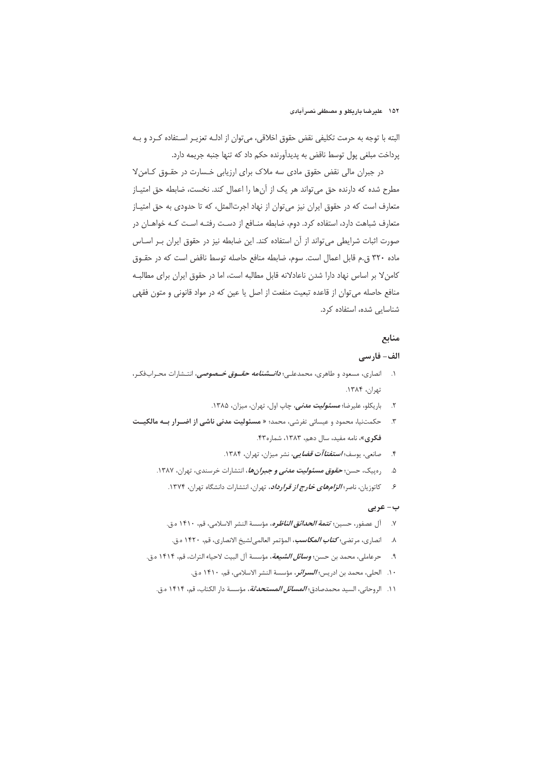البته با توجه به حرمت تكليفي نقض حقوق اخلاقي، مي توان از ادلـه تعزيـر اسـتفاده كـرد و بـه پرداخت مبلغي پول توسط ناقض به پديدآورنده حكم داد كه تنها جنبه جريمه دارد.

در جبران مالی نقض حقوق مادی سه ملاک برای ارزیابی خـسارت در حقــوق کــامنِ لا مطرح شده که دارنده حق می تواند هر یک از آنها را اعمال کند. نخست، ضابطه حق امتیـاز متعارف است که در حقوق ایران نیز می توان از نهاد اجرتالمثل، که تا حدودی به حق امتیـاز متعارف شباهت دارد، استفاده كرد. دوم، ضابطه منافع از دست رفتـه اسـت كـه خواهـان در صورت اثبات شرایطی می تواند از آن استفاده کند. این ضابطه نیز در حقوق ایران بـر اسـاس ماده ٣٢٠ ق.م قابل اعمال است. سوم، ضابطه منافع حاصله توسط ناقض است كه در حقـوق كامن لا بر اساس نهاد دارا شدن ناعادلانه قابل مطالبه است، اما در حقوق ايران براي مطالبـه منافع حاصله می توان از قاعده تبعیت منفعت از اصل یا عین که در مواد قانونی و متون فقهی شناسایی شده، استفاده کرد.

# منابع

## الف- فارسي

- ۱. انصاری، مسعود و طاهری، محمدعلـی؛ *دانـــشنامه حقـــوق خـــصوصی*، انتــشارات محــراب&کـر، تهران، ۱۳۸۴.
	- ۲. باریکلو، علیرضا؛ *مسئولیت مدنی،* چاپ اول، تهران، میزان، ۱۳۸۵.
- حكمتنيا، محمود و عيسائي تفرشي، محمد؛ « مسئوليت مدنى ناشى از اضرار بـه مالكيـت  $\cdot$ . $\mathsf{r}$ فكرى»، نامه مفيد، سال دهم، ١٣٨٣، شماره ۴۳.
	- ۴. مصانعی، یوسف؛ *استفتاآت قضایی، نشر میزان*، تهران، ۱۳۸۴.
	- ۵. درمیک، حسن؛ **ح***قوق مسئولیت مدنی و جبرانها***،** انتشارات خرسندی، تهران، ۱۳۸۷.
		- ۶ كاتوزيان، ناصر؛ *الزامهاي خارج از قرارداد*، تهران، انتشارات دانشگاه تهران، ۱۳۷۴.

#### ب- عرب*ی*

- ٧. آل عصفور، حسين؛ *تتمة الحدائق الناظره*، مؤسسة النشر الاسلامي، قم، ١۴١٠ ه.ق.
- ٨. انصارى، مرتضى؛ *كتاب المكاسب***،** المؤتمر العالمي لشيخ الانصارى، قم، ١۴٢٠ ه.ق.
- ۹. حرعاملي، محمد بن حسن؛ *وسائل الشيعة*، مؤسسة آل البيت لاحياء التراث، قم، ۱۴۱۴ ه.ق.
	- ١٠. الحلي، محمد بن ادريس؛ *السرائر*، مؤسسة النشر الاسلامي، قم، ١۴١٠ ه.ق.
	- ١١. الروحاني، السيد محمدصادق؛ *المسائل المستحدثة*، مؤسسة دار الكتاب، قم، ١۴١۴ م.ق.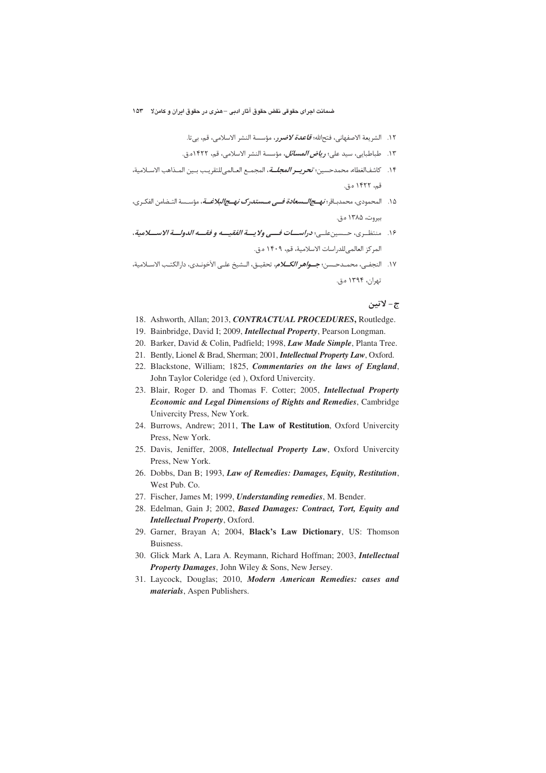- ١٢. الشريعة الاصفهاني، فتحالله؛ *قاعدة لاضرر*، مؤسسة النشر الاسلامي، قم، بي¤ا.
- ١٣. طباطبايي، سيد علي؛ *رياض المسائل***،** مؤسسة النشر الاسلامي، قم، ١۴٢٢ه.ق.
- ١۴. كاشفالغطاء، محمدحسين؛ تحريـــر *المجلـــة*، المجمـع العــالميللتقريـب بــين المــذاهب الاســلامية، قم، ۱۴۲۲ ه.ق.
- ۱۵. المحمودي، محمدبــاقر؛ *نـهـــج/لــــسعادة فــــى مــــستدرك نهـــج/لبلاغـــة***، مؤســسة التــضامن الفكــرى،** ب وت، ۱۳۸۵ ه.ق.
- ۱۶. منتظــري، حــسين علــي؛ **در***اســــات فـــــ<sub>ي</sub> ولا يــــة الغقيـــــه و فقـــــه الدولــــة الاســــلامية،* المركز العالمي للدراسات الاسلامية، قم، ١۴٠٩ ه.ق.
- ١٧. النجفـي، محمــدحــسن؛ **جــــو/هر** *الكـــلام***،** تحقيــق، الــشيخ علــى الآخونــدى، دارالكتـب الاســلامية، تهران، ۱۳۹۴ ه.ق.

#### ج- لاتين

- 18. Ashworth, Allan; 2013, *CONTRACTUAL PROCEDURES***,** Routledge.
- 19. Bainbridge, David I; 2009, *Intellectual Property*, Pearson Longman.
- 20. Barker, David & Colin, Padfield; 1998, *Law Made Simple*, Planta Tree.
- 21. Bently, Lionel & Brad, Sherman; 2001, *Intellectual Property Law*, Oxford.
- 22. Blackstone, William; 1825, *Commentaries on the laws of England*, John Taylor Coleridge (ed ), Oxford Univercity.
- 23. Blair, Roger D. and Thomas F. Cotter; 2005, *Intellectual Property Economic and Legal Dimensions of Rights and Remedies*, Cambridge Univercity Press, New York.
- 24. Burrows, Andrew; 2011, **The Law of Restitution**, Oxford Univercity Press, New York.
- 25. Davis, Jeniffer, 2008, *Intellectual Property Law*, Oxford Univercity Press, New York.
- 26. Dobbs, Dan B; 1993, *Law of Remedies: Damages, Equity, Restitution*, West Pub. Co.
- 27. Fischer, James M; 1999, *Understanding remedies*, M. Bender.
- 28. Edelman, Gain J; 2002, *Based Damages: Contract, Tort, Equity and Intellectual Property*, Oxford.
- 29. Garner, Brayan A; 2004, **Black's Law Dictionary**, US: Thomson Buisness.
- 30. Glick Mark A, Lara A. Reymann, Richard Hoffman; 2003, *Intellectual Property Damages*, John Wiley & Sons, New Jersey.
- 31. Laycock, Douglas; 2010, *Modern American Remedies: cases and materials*, Aspen Publishers.